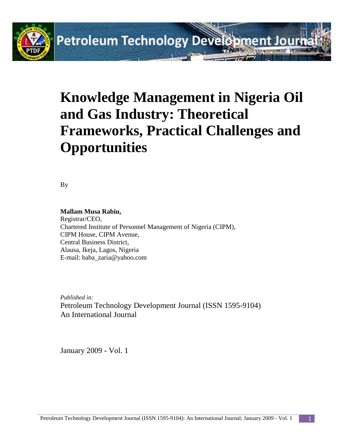

# **Knowledge Management in Nigeria Oil and Gas Industry: Theoretical Frameworks, Practical Challenges and Opportunities**

By

**Mallam Musa Rabiu,** Registrar/CEO, Chartered Institute of Personnel Management of Nigeria (CIPM), CIPM House, CIPM Avenue, Central Business District, Alausa, Ikeja, Lagos, Nigeria E-mail: baba\_zaria@yahoo.com

*Published in:* Petroleum Technology Development Journal (ISSN 1595-9104) An International Journal

January 2009 - Vol. 1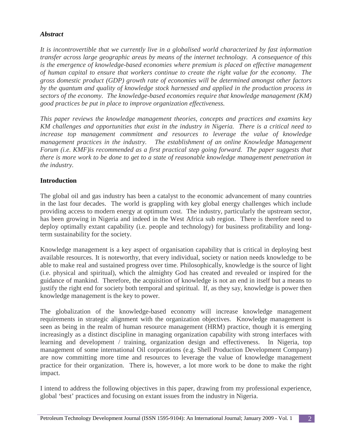# *Abstract*

*It is incontrovertible that we currently live in a globalised world characterized by fast information transfer across large geographic areas by means of the internet technology. A consequence of this is the emergence of knowledge-based economies where premium is placed on effective management of human capital to ensure that workers continue to create the right value for the economy. The gross domestic product (GDP) growth rate of economies will be determined amongst other factors by the quantum and quality of knowledge stock harnessed and applied in the production process in sectors of the economy. The knowledge-based economies require that knowledge management (KM) good practices be put in place to improve organization effectiveness.*

*This paper reviews the knowledge management theories, concepts and practices and examins key KM challenges and opportunities that exist in the industry in Nigeria. There is a critical need to increase top management commitment and resources to leverage the value of knowledge management practices in the industry.* The establishment of an online Knowledge Management *Forum (i.e. KMF)is recommended as a first practical step going forward. The paper suggests that there is more work to be done to get to a state of reasonable knowledge management penetration in the industry.* 

# **Introduction**

The global oil and gas industry has been a catalyst to the economic advancement of many countries in the last four decades. The world is grappling with key global energy challenges which include providing access to modern energy at optimum cost. The industry, particularly the upstream sector, has been growing in Nigeria and indeed in the West Africa sub region. There is therefore need to deploy optimally extant capability (i.e. people and technology) for business profitability and longterm sustainability for the society.

Knowledge management is a key aspect of organisation capability that is critical in deploying best available resources. It is noteworthy, that every individual, society or nation needs knowledge to be able to make real and sustained progress over time. Philosophically, knowledge is the source of light (i.e. physical and spiritual), which the almighty God has created and revealed or inspired for the guidance of mankind. Therefore, the acquisition of knowledge is not an end in itself but a means to justify the right end for society both temporal and spiritual. If, as they say, knowledge is power then knowledge management is the key to power.

The globalization of the knowledge-based economy will increase knowledge management requirements in strategic alignment with the organization objectives. Knowledge management is seen as being in the realm of human resource management (HRM) practice, though it is emerging increasingly as a distinct discipline in managing organization capability with strong interfaces with learning and development / training, organization design and effectiveness. In Nigeria, top management of some international Oil corporations (e.g. Shell Production Development Company) are now committing more time and resources to leverage the value of knowledge management practice for their organization. There is, however, a lot more work to be done to make the right impact.

I intend to address the following objectives in this paper, drawing from my professional experience, global 'best' practices and focusing on extant issues from the industry in Nigeria.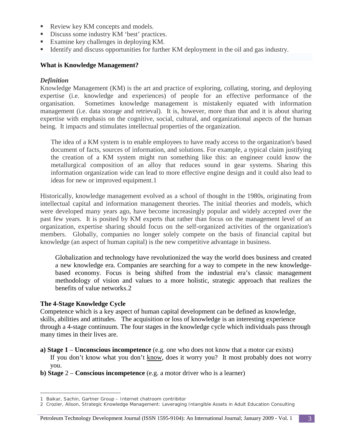- Review key KM concepts and models.
- Discuss some industry KM 'best' practices.
- Examine key challenges in deploying KM.
- Identify and discuss opportunities for further KM deployment in the oil and gas industry.

## **What is Knowledge Management?**

#### *Definition*

Knowledge Management (KM) is the art and practice of exploring, collating, storing, and deploying expertise (i.e. knowledge and experiences) of people for an effective performance of the organisation. Sometimes knowledge management is mistakenly equated with information management (i.e. data storage and retrieval). It is, however, more than that and it is about sharing expertise with emphasis on the cognitive, social, cultural, and organizational aspects of the human being. It impacts and stimulates intellectual properties of the organization.

The idea of a KM system is to enable employees to have ready access to the organization's based document of facts, sources of information, and solutions. For example, a typical claim justifying the creation of a KM system might run something like this: an engineer could know the metallurgical composition of an alloy that reduces sound in gear systems. Sharing this information organization wide can lead to more effective engine design and it could also lead to ideas for new or improved equipment.[1](#page-2-0)

Historically, knowledge management evolved as a school of thought in the 1980s, originating from intellectual capital and information management theories. The initial theories and models, which were developed many years ago, have become increasingly popular and widely accepted over the past few years. It is posited by KM experts that rather than focus on the management level of an organization, expertise sharing should focus on the self-organized activities of the organization's members. Globally, companies no longer solely compete on the basis of financial capital but knowledge (an aspect of human capital) is the new competitive advantage in business.

Globalization and technology have revolutionized the way the world does business and created a new knowledge era. Companies are searching for a way to compete in the new knowledgebased economy. Focus is being shifted from the industrial era's classic management methodology of vision and values to a more holistic, strategic approach that realizes the benefits of value networks.[2](#page-2-1)

#### **The 4-Stage Knowledge Cycle**

 $\overline{a}$ 

Competence which is a key aspect of human capital development can be defined as knowledge, skills, abilities and attitudes. The acquisition or loss of knowledge is an interesting experience through a 4-stage continuum. The four stages in the knowledge cycle which individuals pass through many times in their lives are.

- **a) Stage 1 Unconscious incompetence** (e.g. one who does not know that a motor car exists) If you don't know what you don't know, does it worry you? It most probably does not worry you.
- **b) Stage** 2 **Conscious incompetence** (e.g. a motor driver who is a learner)

#### Petroleum Technology Development Journal (ISSN 1595-9104): An International Journal; January 2009 - Vol. 1 3

<span id="page-2-0"></span><sup>1</sup> Baikar, Sachin, Gartner Group – Internet chatroom contribitor

<span id="page-2-1"></span><sup>2</sup> Crozier, Alison, Strategic Knowledge Management: Leveraging Intangible Assets in Adult Education Consulting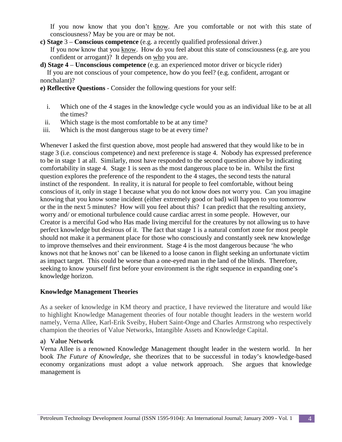If you now know that you don't know. Are you comfortable or not with this state of consciousness? May be you are or may be not.

- **c) Stage** 3 **Conscious competence** (e.g. a recently qualified professional driver.) If you now know that you know. How do you feel about this state of consciousness (e.g. are you confident or arrogant)? It depends on who you are.
- **d) Stage 4 Unconscious competence** (e.g. an experienced motor driver or bicycle rider) If you are not conscious of your competence, how do you feel? (e.g. confident, arrogant or nonchalant)?
- **e) Reflective Questions** Consider the following questions for your self:
	- i. Which one of the 4 stages in the knowledge cycle would you as an individual like to be at all the times?
	- ii. Which stage is the most comfortable to be at any time?
- iii. Which is the most dangerous stage to be at every time?

Whenever I asked the first question above, most people had answered that they would like to be in stage 3 (i.e. conscious competence) and next preference is stage 4. Nobody has expressed preference to be in stage 1 at all. Similarly, most have responded to the second question above by indicating comfortability in stage 4. Stage 1 is seen as the most dangerous place to be in. Whilst the first question explores the preference of the respondent to the 4 stages, the second tests the natural instinct of the respondent. In reality, it is natural for people to feel comfortable, without being conscious of it, only in stage 1 because what you do not know does not worry you. Can you imagine knowing that you know some incident (either extremely good or bad) will happen to you tomorrow or the in the next 5 minutes? How will you feel about this? I can predict that the resulting anxiety, worry and/ or emotional turbulence could cause cardiac arrest in some people. However, our Creator is a merciful God who Has made living merciful for the creatures by not allowing us to have perfect knowledge but desirous of it. The fact that stage 1 is a natural comfort zone for most people should not make it a permanent place for those who consciously and constantly seek new knowledge to improve themselves and their environment. Stage 4 is the most dangerous because 'he who knows not that he knows not' can be likened to a loose canon in flight seeking an unfortunate victim as impact target. This could be worse than a one-eyed man in the land of the blinds. Therefore, seeking to know yourself first before your environment is the right sequence in expanding one's knowledge horizon.

# **Knowledge Management Theories**

As a seeker of knowledge in KM theory and practice, I have reviewed the literature and would like to highlight Knowledge Management theories of four notable thought leaders in the western world namely, Verna Allee, Karl-Erik Sveiby, Hubert Saint-Onge and Charles Armstrong who respectively champion the theories of Value Networks, Intangible Assets and Knowledge Capital.

#### **a) Value Network**

Verna Allee is a renowned Knowledge Management thought leader in the western world. In her book *The Future of Knowledge*, she theorizes that to be successful in today's knowledge-based economy organizations must adopt a value network approach. She argues that knowledge management is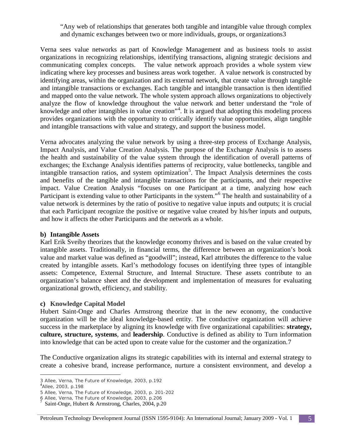"Any web of relationships that generates both tangible and intangible value through complex and dynamic exchanges between two or more individuals, groups, or organization[s3](#page-4-0)

Verna sees value networks as part of Knowledge Management and as business tools to assist organizations in recognizing relationships, identifying transactions, aligning strategic decisions and communicating complex concepts. The value network approach provides a whole system view indicating where key processes and business areas work together. A value network is constructed by identifying areas, within the organization and its external network, that create value through tangible and intangible transactions or exchanges. Each tangible and intangible transaction is then identified and mapped onto the value network. The whole system approach allows organizations to objectively analyze the flow of knowledge throughout the value network and better understand the "role of knowledge and other intangibles in value creation"<sup>[4](#page-4-1)</sup>. It is argued that adopting this modeling process provides organizations with the opportunity to critically identify value opportunities, align tangible and intangible transactions with value and strategy, and support the business model.

Verna advocates analyzing the value network by using a three-step process of Exchange Analysis, Impact Analysis, and Value Creation Analysis. The purpose of the Exchange Analysis is to assess the health and sustainability of the value system through the identification of overall patterns of exchanges; the Exchange Analysis identifies patterns of reciprocity, value bottlenecks, tangible and intangible transaction ratios, and system optimization<sup>[5](#page-4-2)</sup>. The Impact Analysis determines the costs and benefits of the tangible and intangible transactions for the participants, and their respective impact. Value Creation Analysis "focuses on one Participant at a time, analyzing how each Participant is extending value to other Participants in the system."[6](#page-4-3) The health and sustainability of a value network is determines by the ratio of positive to negative value inputs and outputs; it is crucial that each Participant recognize the positive or negative value created by his/her inputs and outputs, and how it affects the other Participants and the network as a whole.

#### **b) Intangible Assets**

Karl Erik Sveiby theorizes that the knowledge economy thrives and is based on the value created by intangible assets. Traditionally, in financial terms, the difference between an organization's book value and market value was defined as "goodwill"; instead, Karl attributes the difference to the value created by intangible assets. Karl's methodology focuses on identifying three types of intangible assets: Competence, External Structure, and Internal Structure. These assets contribute to an organization's balance sheet and the development and implementation of measures for evaluating organizational growth, efficiency, and stability.

#### **c) Knowledge Capital Model**

Hubert Saint-Onge and Charles Armstrong theorize that in the new economy, the conductive organization will be the ideal knowledge-based entity. The conductive organization will achieve success in the marketplace by aligning its knowledge with five organizational capabilities: **strategy, culture, structure, systems**, and **leadership**. Conductive is defined as ability to Turn information into knowledge that can be acted upon to create value for the customer and the organization.[7](#page-4-4)

The Conductive organization aligns its strategic capabilities with its internal and external strategy to create a cohesive brand, increase performance, nurture a consistent environment, and develop a

 $\overline{a}$ 

#### Petroleum Technology Development Journal (ISSN 1595-9104): An International Journal; January 2009 - Vol. 1 5

<sup>3</sup> Allee, Verna, The Future of Knowledge, 2003, p.192 <sup>4</sup>

<span id="page-4-1"></span><span id="page-4-0"></span>Allee, 2003, p.198

<sup>5</sup> Allee, Verna, The Future of Knowledge, 2003, p. 201-202

<span id="page-4-4"></span><span id="page-4-3"></span><span id="page-4-2"></span><sup>6</sup> Allee, Verna, The Future of Knowledge, 2003, p.206 <sup>7</sup>

Saint-Onge, Hubert & Armstrong, Charles, 2004, p.20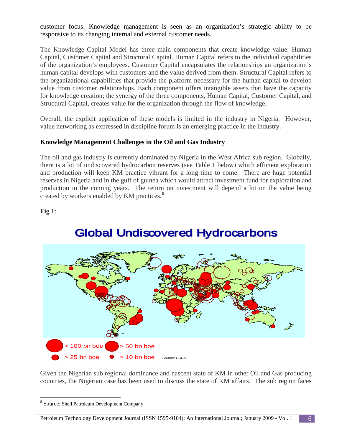customer focus. Knowledge management is seen as an organization's strategic ability to be responsive to its changing internal and external customer needs.

The Knowledge Capital Model has three main components that create knowledge value: Human Capital, Customer Capital and Structural Capital. Human Capital refers to the individual capabilities of the organization's employees. Customer Capital encapsulates the relationships an organization's human capital develops with customers and the value derived from them. Structural Capital refers to the organizational capabilities that provide the platform necessary for the human capital to develop value from customer relationships. Each component offers intangible assets that have the capacity for knowledge creation; the synergy of the three components, Human Capital, Customer Capital, and Structural Capital, creates value for the organization through the flow of knowledge.

Overall, the explicit application of these models is limited in the industry in Nigeria. However, value networking as expressed in discipline forum is an emerging practice in the industry.

# **Knowledge Management Challenges in the Oil and Gas Industry**

The oil and gas industry is currently dominated by Nigeria in the West Africa sub region. Globally, there is a lot of undiscovered hydrocarbon reserves (see Table 1 below) which efficient exploration and production will keep KM practice vibrant for a long time to come. There are huge potential reserves in Nigeria and in the gulf of guinea which would attract investment fund for exploration and production in the coming years. The return on investment will depend a lot on the value being created by workers enabled by KM practices.<sup>[8](#page-5-0)</sup>

**Fig 1**:



# **Global Undiscovered Hydrocarbons**

Given the Nigerian sub regional dominance and nascent state of KM in other Oil and Gas producing countries, the Nigerian case has been used to discuss the state of KM affairs. The sub region faces

<span id="page-5-0"></span> <sup>8</sup> Source: Shell Petroleum Development Company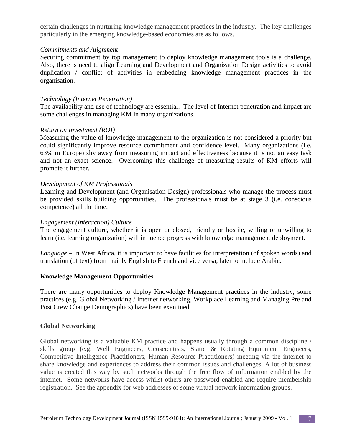certain challenges in nurturing knowledge management practices in the industry. The key challenges particularly in the emerging knowledge-based economies are as follows.

#### *Commitments and Alignment*

Securing commitment by top management to deploy knowledge management tools is a challenge. Also, there is need to align Learning and Development and Organization Design activities to avoid duplication / conflict of activities in embedding knowledge management practices in the organisation.

#### *Technology (Internet Penetration)*

The availability and use of technology are essential. The level of Internet penetration and impact are some challenges in managing KM in many organizations.

#### *Return on Investment (ROI)*

Measuring the value of knowledge management to the organization is not considered a priority but could significantly improve resource commitment and confidence level. Many organizations (i.e. 63% in Europe) shy away from measuring impact and effectiveness because it is not an easy task and not an exact science. Overcoming this challenge of measuring results of KM efforts will promote it further.

#### *Development of KM Professionals*

Learning and Development (and Organisation Design) professionals who manage the process must be provided skills building opportunities. The professionals must be at stage 3 (i.e. conscious competence) all the time.

#### *Engagement (Interaction) Culture*

The engagement culture, whether it is open or closed, friendly or hostile, willing or unwilling to learn (i.e. learning organization) will influence progress with knowledge management deployment.

*Language* – In West Africa, it is important to have facilities for interpretation (of spoken words) and translation (of text) from mainly English to French and vice versa; later to include Arabic.

#### **Knowledge Management Opportunities**

There are many opportunities to deploy Knowledge Management practices in the industry; some practices (e.g. Global Networking / Internet networking, Workplace Learning and Managing Pre and Post Crew Change Demographics) have been examined.

#### **Global Networking**

Global networking is a valuable KM practice and happens usually through a common discipline / skills group (e.g. Well Engineers, Geoscientists, Static & Rotating Equipment Engineers, Competitive Intelligence Practitioners, Human Resource Practitioners) meeting via the internet to share knowledge and experiences to address their common issues and challenges. A lot of business value is created this way by such networks through the free flow of information enabled by the internet. Some networks have access whilst others are password enabled and require membership registration. See the appendix for web addresses of some virtual network information groups.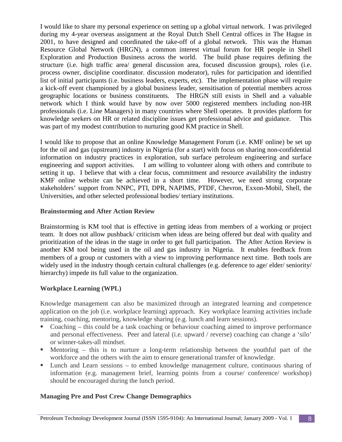I would like to share my personal experience on setting up a global virtual network. I was privileged during my 4-year overseas assignment at the Royal Dutch Shell Central offices in The Hague in 2001, to have designed and coordinated the take-off of a global network. This was the Human Resource Global Network (HRGN), a common interest virtual forum for HR people in Shell Exploration and Production Business across the world. The build phase requires defining the structure (i.e. high traffic area/ general discussion area, focused discussion groups), roles (i.e. process owner, discipline coordinator. discussion moderator), rules for participation and identified list of initial participants (i.e. business leaders, experts, etc). The implementation phase will require a kick-off event championed by a global business leader, sensitisation of potential members across geographic locations or business constituents. The HRGN still exists in Shell and a valuable network which I think would have by now over 5000 registered members including non-HR professionals (i.e. Line Managers) in many countries where Shell operates. It provides platform for knowledge seekers on HR or related discipline issues get professional advice and guidance. This was part of my modest contribution to nurturing good KM practice in Shell.

I would like to propose that an online Knowledge Management Forum (i.e. KMF online) be set up for the oil and gas (upstream) industry in Nigeria (for a start) with focus on sharing non-confidential information on industry practices in exploration, sub surface petroleum engineering and surface engineering and support activities. I am willing to volunteer along with others and contribute to setting it up. I believe that with a clear focus, commitment and resource availability the industry KMF online website can be achieved in a short time. However, we need strong corporate stakeholders' support from NNPC, PTI, DPR, NAPIMS, PTDF, Chevron, Exxon-Mobil, Shell, the Universities, and other selected professional bodies/ tertiary institutions.

# **Brainstorming and After Action Review**

Brainstorming is KM tool that is effective in getting ideas from members of a working or project team. It does not allow pushback/ criticism when ideas are being offered but deal with quality and prioritization of the ideas in the stage in order to get full participation. The After Action Review is another KM tool being used in the oil and gas industry in Nigeria. It enables feedback from members of a group or customers with a view to improving performance next time. Both tools are widely used in the industry though certain cultural challenges (e.g. deference to age/ elder/ seniority/ hierarchy) impede its full value to the organization.

# **Workplace Learning (WPL)**

Knowledge management can also be maximized through an integrated learning and competence application on the job (i.e. workplace learning) approach. Key workplace learning activities include training, coaching, mentoring, knowledge sharing (e.g. lunch and learn sessions).

- Coaching this could be a task coaching or behaviour coaching aimed to improve performance and personal effectiveness. Peer and lateral (i.e. upward / reverse) coaching can change a 'silo' or winner-takes-all mindset.
- Mentoring this is to nurture a long-term relationship between the youthful part of the workforce and the others with the aim to ensure generational transfer of knowledge.
- Lunch and Learn sessions to embed knowledge management culture, continuous sharing of information (e.g. management brief, learning points from a course/ conference/ workshop) should be encouraged during the lunch period.

# **Managing Pre and Post Crew Change Demographics**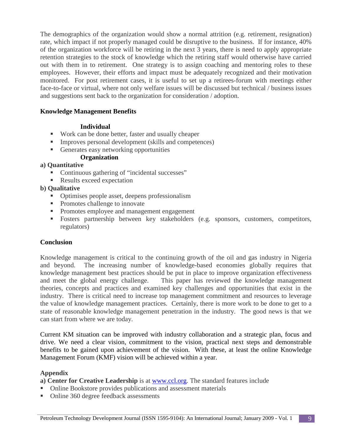The demographics of the organization would show a normal attrition (e.g. retirement, resignation) rate, which impact if not properly managed could be disruptive to the business. If for instance, 40% of the organization workforce will be retiring in the next 3 years, there is need to apply appropriate retention strategies to the stock of knowledge which the retiring staff would otherwise have carried out with them in to retirement. One strategy is to assign coaching and mentoring roles to these employees. However, their efforts and impact must be adequately recognized and their motivation monitored. For post retirement cases, it is useful to set up a retirees-forum with meetings either face-to-face or virtual, where not only welfare issues will be discussed but technical / business issues and suggestions sent back to the organization for consideration / adoption.

## **Knowledge Management Benefits**

#### **Individual**

- Work can be done better, faster and usually cheaper
- Improves personal development (skills and competences)
- Generates easy networking opportunities

# **Organization**

# **a) Quantitative**

- Continuous gathering of "incidental successes"
- Results exceed expectation

# **b) Qualitative**

- Optimises people asset, deepens professionalism
- Promotes challenge to innovate
- **Promotes employee and management engagement**
- Fosters partnership between key stakeholders (e.g. sponsors, customers, competitors, regulators)

# **Conclusion**

Knowledge management is critical to the continuing growth of the oil and gas industry in Nigeria and beyond. The increasing number of knowledge-based economies globally requires that knowledge management best practices should be put in place to improve organization effectiveness and meet the global energy challenge. This paper has reviewed the knowledge management theories, concepts and practices and examined key challenges and opportunities that exist in the industry. There is critical need to increase top management commitment and resources to leverage the value of knowledge management practices. Certainly, there is more work to be done to get to a state of reasonable knowledge management penetration in the industry. The good news is that we can start from where we are today.

Current KM situation can be improved with industry collaboration and a strategic plan, focus and drive. We need a clear vision, commitment to the vision, practical next steps and demonstrable benefits to be gained upon achievement of the vision. With these, at least the online Knowledge Management Forum (KMF) vision will be achieved within a year.

# **Appendix**

**a) Center for Creative Leadership** is at [www.ccl.org.](http://www.ccl.org/) The standard features include

- Online Bookstore provides publications and assessment materials
- Online 360 degree feedback assessments